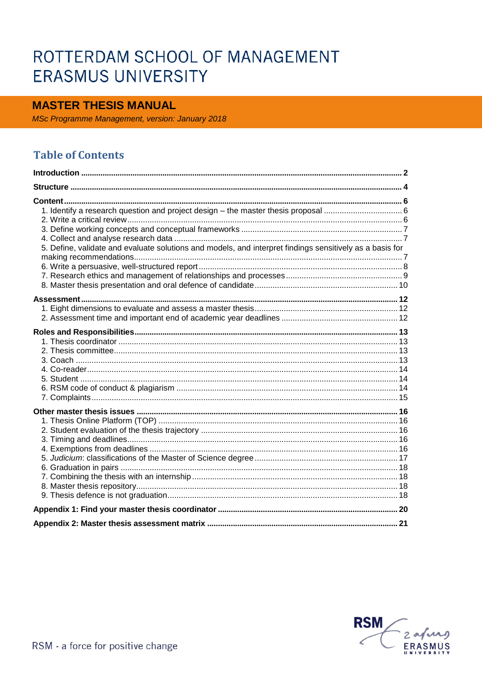# ROTTERDAM SCHOOL OF MANAGEMENT **ERASMUS UNIVERSITY**

### **MASTER THESIS MANUAL**

**MSc Programme Management, version: January 2018** 

### **Table of Contents**

| 5. Define, validate and evaluate solutions and models, and interpret findings sensitively as a basis for |  |
|----------------------------------------------------------------------------------------------------------|--|
|                                                                                                          |  |
|                                                                                                          |  |
|                                                                                                          |  |
|                                                                                                          |  |
|                                                                                                          |  |

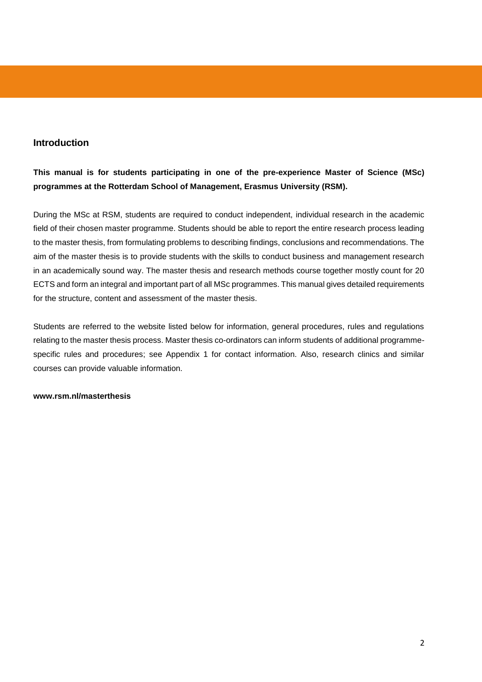#### <span id="page-1-0"></span>**Introduction**

**This manual is for students participating in one of the pre-experience Master of Science (MSc) programmes at the Rotterdam School of Management, Erasmus University (RSM).** 

During the MSc at RSM, students are required to conduct independent, individual research in the academic field of their chosen master programme. Students should be able to report the entire research process leading to the master thesis, from formulating problems to describing findings, conclusions and recommendations. The aim of the master thesis is to provide students with the skills to conduct business and management research in an academically sound way. The master thesis and research methods course together mostly count for 20 ECTS and form an integral and important part of all MSc programmes. This manual gives detailed requirements for the structure, content and assessment of the master thesis.

Students are referred to the website listed below for information, general procedures, rules and regulations relating to the master thesis process. Master thesis co-ordinators can inform students of additional programmespecific rules and procedures; see Appendix 1 for contact information. Also, research clinics and similar courses can provide valuable information.

#### **www.rsm.nl/masterthesis**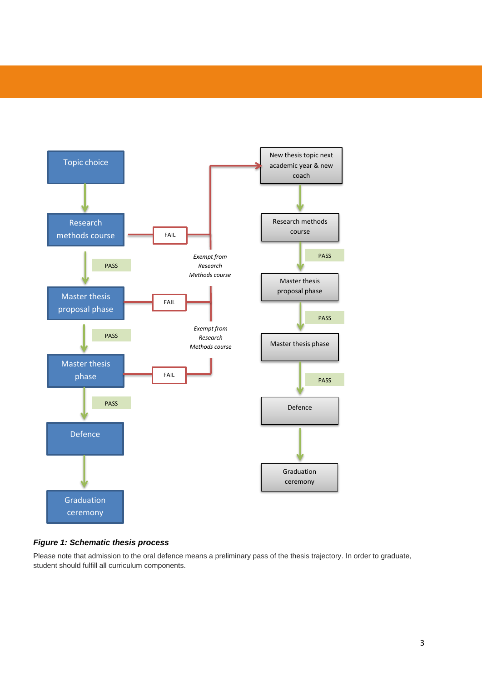

#### *Figure 1: Schematic thesis process*

Please note that admission to the oral defence means a preliminary pass of the thesis trajectory. In order to graduate, student should fulfill all curriculum components.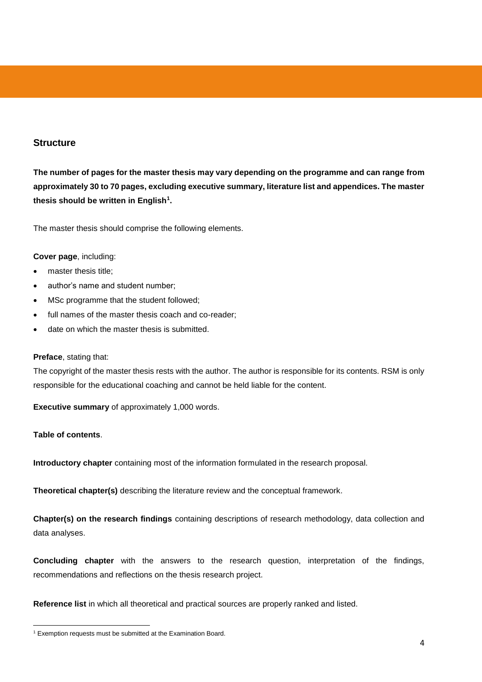#### <span id="page-3-0"></span>**Structure**

**The number of pages for the master thesis may vary depending on the programme and can range from approximately 30 to 70 pages, excluding executive summary, literature list and appendices. The master thesis should be written in English<sup>1</sup> .** 

The master thesis should comprise the following elements.

#### **Cover page**, including:

- master thesis title;
- author's name and student number;
- MSc programme that the student followed;
- full names of the master thesis coach and co-reader;
- date on which the master thesis is submitted.

#### **Preface**, stating that:

The copyright of the master thesis rests with the author. The author is responsible for its contents. RSM is only responsible for the educational coaching and cannot be held liable for the content.

**Executive summary** of approximately 1,000 words.

#### **Table of contents**.

**Introductory chapter** containing most of the information formulated in the research proposal.

**Theoretical chapter(s)** describing the literature review and the conceptual framework.

**Chapter(s) on the research findings** containing descriptions of research methodology, data collection and data analyses.

**Concluding chapter** with the answers to the research question, interpretation of the findings, recommendations and reflections on the thesis research project.

**Reference list** in which all theoretical and practical sources are properly ranked and listed.

 $\overline{a}$ <sup>1</sup> Exemption requests must be submitted at the Examination Board.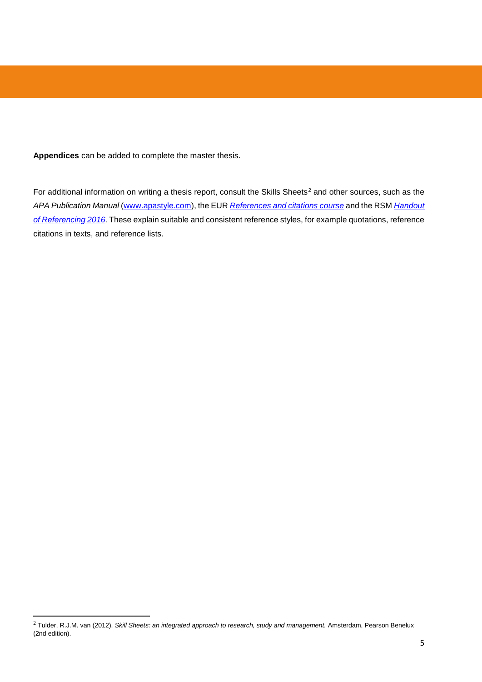**Appendices** can be added to complete the master thesis.

For additional information on writing a thesis report, consult the Skills Sheets<sup>2</sup> and other sources, such as the *APA Publication Manual* [\(www.apastyle.com\)](http://www.apastyle.com/), the EUR *[References and citations course](https://www.eur.nl/ub/nl/trainingsupportportal/trainingsupportsearch/trainingsupportdetail/?view=showDetailed&id=177&q=citation)* and the RSM *[Handout](https://www.rsm.nl/fileadmin/Images_NEW/Current_Students/IBA/Handout_referencing_2016_v2.pdf)  [of Referencing 2016](https://www.rsm.nl/fileadmin/Images_NEW/Current_Students/IBA/Handout_referencing_2016_v2.pdf)*. These explain suitable and consistent reference styles, for example quotations, reference citations in texts, and reference lists.

 $\overline{a}$ 

<sup>2</sup> Tulder, R.J.M. van (2012). *Skill Sheets: an integrated approach to research, study and management.* Amsterdam, Pearson Benelux (2nd edition).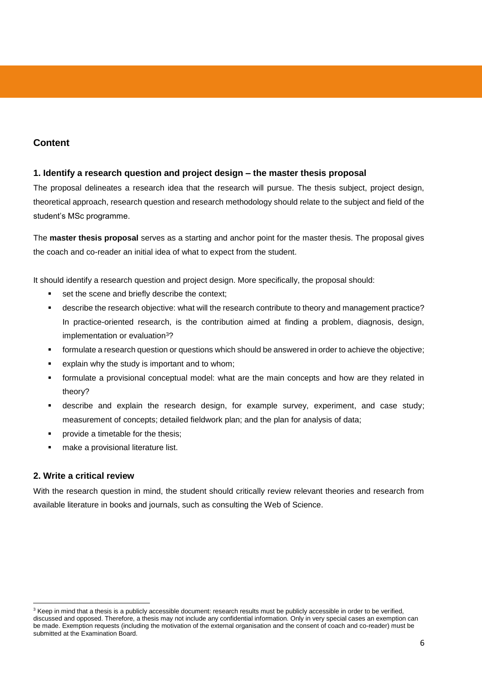#### <span id="page-5-0"></span>**Content**

#### <span id="page-5-1"></span>**1. Identify a research question and project design – the master thesis proposal**

The proposal delineates a research idea that the research will pursue. The thesis subject, project design, theoretical approach, research question and research methodology should relate to the subject and field of the student's MSc programme.

The **master thesis proposal** serves as a starting and anchor point for the master thesis. The proposal gives the coach and co-reader an initial idea of what to expect from the student.

It should identify a research question and project design. More specifically, the proposal should:

- set the scene and briefly describe the context;
- describe the research objective: what will the research contribute to theory and management practice? In practice-oriented research, is the contribution aimed at finding a problem, diagnosis, design, implementation or evaluation<sup>3</sup>?
- **formulate a research question or questions which should be answered in order to achieve the objective;**
- explain why the study is important and to whom;
- formulate a provisional conceptual model: what are the main concepts and how are they related in theory?
- describe and explain the research design, for example survey, experiment, and case study; measurement of concepts; detailed fieldwork plan; and the plan for analysis of data;
- **PEDROPEDE A** timetable for the thesis;
- **nake a provisional literature list.**

#### <span id="page-5-2"></span>**2. Write a critical review**

 $\overline{a}$ 

With the research question in mind, the student should critically review relevant theories and research from available literature in books and journals, such as consulting the Web of Science.

<sup>&</sup>lt;sup>3</sup> Keep in mind that a thesis is a publicly accessible document: research results must be publicly accessible in order to be verified, discussed and opposed. Therefore, a thesis may not include any confidential information. Only in very special cases an exemption can be made. Exemption requests (including the motivation of the external organisation and the consent of coach and co-reader) must be submitted at the Examination Board.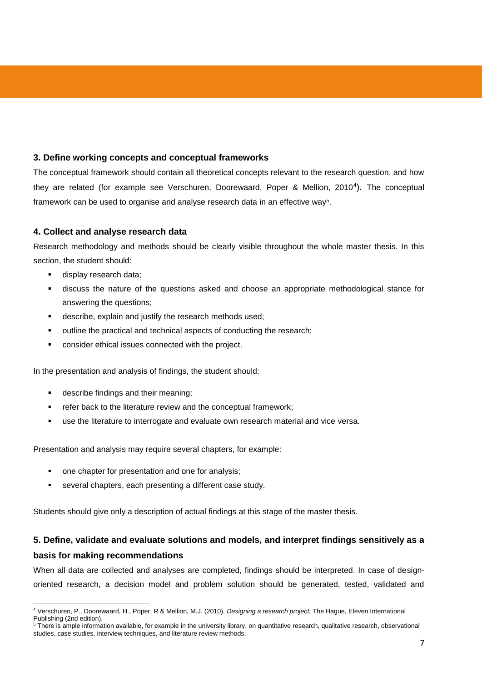#### <span id="page-6-0"></span>**3. Define working concepts and conceptual frameworks**

The conceptual framework should contain all theoretical concepts relevant to the research question, and how they are related (for example see Verschuren, Doorewaard, Poper & Mellion, 2010<sup>4</sup>). The conceptual framework can be used to organise and analyse research data in an effective way<sup>5</sup>.

#### <span id="page-6-1"></span>**4. Collect and analyse research data**

Research methodology and methods should be clearly visible throughout the whole master thesis. In this section, the student should:

- **display research data;**
- discuss the nature of the questions asked and choose an appropriate methodological stance for answering the questions;
- describe, explain and justify the research methods used;
- **•** outline the practical and technical aspects of conducting the research;
- consider ethical issues connected with the project.

In the presentation and analysis of findings, the student should:

- **describe findings and their meaning;**
- **F** refer back to the literature review and the conceptual framework;
- use the literature to interrogate and evaluate own research material and vice versa.

Presentation and analysis may require several chapters, for example:

- one chapter for presentation and one for analysis;
- several chapters, each presenting a different case study.

Students should give only a description of actual findings at this stage of the master thesis.

### <span id="page-6-2"></span>**5. Define, validate and evaluate solutions and models, and interpret findings sensitively as a basis for making recommendations**

When all data are collected and analyses are completed, findings should be interpreted. In case of designoriented research, a decision model and problem solution should be generated, tested, validated and

 $\overline{a}$ <sup>4</sup> Verschuren, P., Doorewaard, H., Poper, R & Mellion, M.J. (2010). *Designing a research project.* The Hague, Eleven International Publishing (2nd edition).

<sup>&</sup>lt;sup>5</sup> There is ample information available, for example in the university library, on quantitative research, qualitative research, observational studies, case studies, interview techniques, and literature review methods.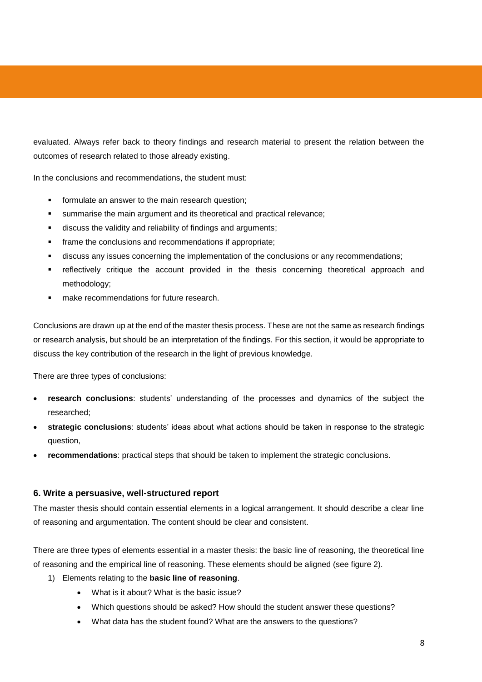evaluated. Always refer back to theory findings and research material to present the relation between the outcomes of research related to those already existing.

In the conclusions and recommendations, the student must:

- **formulate an answer to the main research question;**
- summarise the main argument and its theoretical and practical relevance;
- discuss the validity and reliability of findings and arguments;
- **frame the conclusions and recommendations if appropriate;**
- discuss any issues concerning the implementation of the conclusions or any recommendations;
- reflectively critique the account provided in the thesis concerning theoretical approach and methodology;
- **nake recommendations for future research.**

Conclusions are drawn up at the end of the master thesis process. These are not the same as research findings or research analysis, but should be an interpretation of the findings. For this section, it would be appropriate to discuss the key contribution of the research in the light of previous knowledge.

There are three types of conclusions:

- **research conclusions**: students' understanding of the processes and dynamics of the subject the researched;
- **strategic conclusions**: students' ideas about what actions should be taken in response to the strategic question,
- **recommendations**: practical steps that should be taken to implement the strategic conclusions.

#### <span id="page-7-0"></span>**6. Write a persuasive, well-structured report**

The master thesis should contain essential elements in a logical arrangement. It should describe a clear line of reasoning and argumentation. The content should be clear and consistent.

There are three types of elements essential in a master thesis: the basic line of reasoning, the theoretical line of reasoning and the empirical line of reasoning. These elements should be aligned (see figure 2).

- 1) Elements relating to the **basic line of reasoning**.
	- What is it about? What is the basic issue?
	- Which questions should be asked? How should the student answer these questions?
	- What data has the student found? What are the answers to the questions?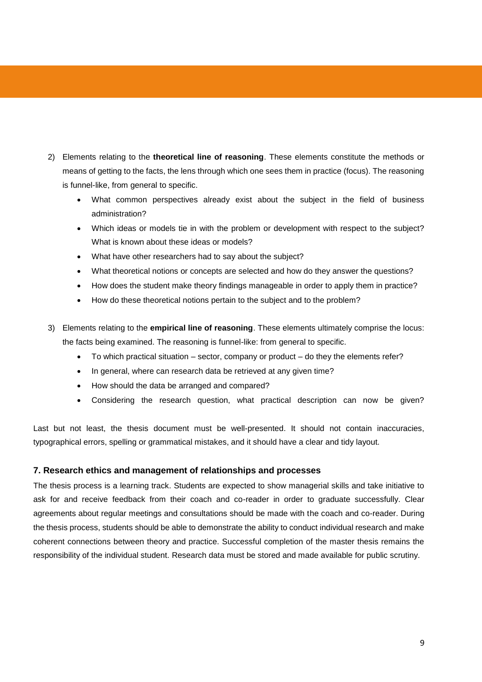- 2) Elements relating to the **theoretical line of reasoning**. These elements constitute the methods or means of getting to the facts, the lens through which one sees them in practice (focus). The reasoning is funnel-like, from general to specific.
	- What common perspectives already exist about the subject in the field of business administration?
	- Which ideas or models tie in with the problem or development with respect to the subject? What is known about these ideas or models?
	- What have other researchers had to say about the subject?
	- What theoretical notions or concepts are selected and how do they answer the questions?
	- How does the student make theory findings manageable in order to apply them in practice?
	- How do these theoretical notions pertain to the subject and to the problem?
- 3) Elements relating to the **empirical line of reasoning**. These elements ultimately comprise the locus: the facts being examined. The reasoning is funnel-like: from general to specific.
	- To which practical situation sector, company or product do they the elements refer?
	- In general, where can research data be retrieved at any given time?
	- How should the data be arranged and compared?
	- Considering the research question, what practical description can now be given?

Last but not least, the thesis document must be well-presented. It should not contain inaccuracies, typographical errors, spelling or grammatical mistakes, and it should have a clear and tidy layout.

#### <span id="page-8-0"></span>**7. Research ethics and management of relationships and processes**

The thesis process is a learning track. Students are expected to show managerial skills and take initiative to ask for and receive feedback from their coach and co-reader in order to graduate successfully. Clear agreements about regular meetings and consultations should be made with the coach and co-reader. During the thesis process, students should be able to demonstrate the ability to conduct individual research and make coherent connections between theory and practice. Successful completion of the master thesis remains the responsibility of the individual student. Research data must be stored and made available for public scrutiny.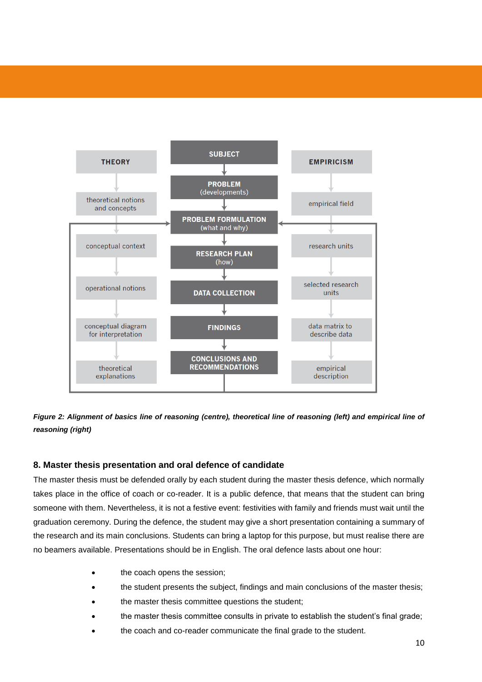



#### <span id="page-9-0"></span>**8. Master thesis presentation and oral defence of candidate**

The master thesis must be defended orally by each student during the master thesis defence, which normally takes place in the office of coach or co-reader. It is a public defence, that means that the student can bring someone with them. Nevertheless, it is not a festive event: festivities with family and friends must wait until the graduation ceremony. During the defence, the student may give a short presentation containing a summary of the research and its main conclusions. Students can bring a laptop for this purpose, but must realise there are no beamers available. Presentations should be in English. The oral defence lasts about one hour:

- the coach opens the session;
- the student presents the subject, findings and main conclusions of the master thesis;
- the master thesis committee questions the student;
- the master thesis committee consults in private to establish the student's final grade;
- the coach and co-reader communicate the final grade to the student.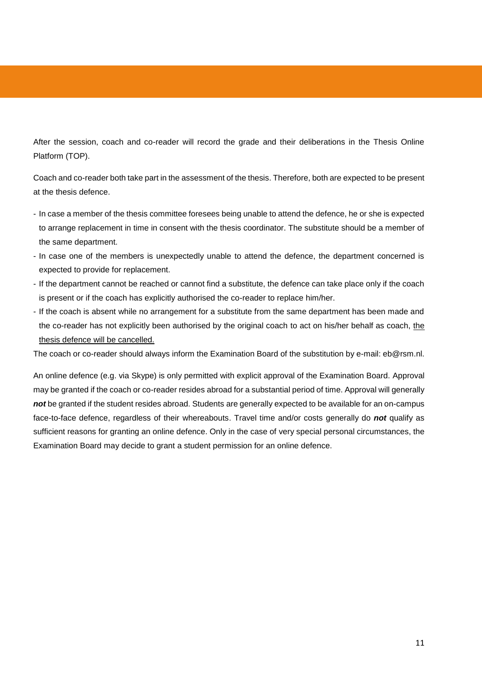After the session, coach and co-reader will record the grade and their deliberations in the Thesis Online Platform (TOP).

Coach and co-reader both take part in the assessment of the thesis. Therefore, both are expected to be present at the thesis defence.

- In case a member of the thesis committee foresees being unable to attend the defence, he or she is expected to arrange replacement in time in consent with the thesis coordinator. The substitute should be a member of the same department.
- In case one of the members is unexpectedly unable to attend the defence, the department concerned is expected to provide for replacement.
- If the department cannot be reached or cannot find a substitute, the defence can take place only if the coach is present or if the coach has explicitly authorised the co-reader to replace him/her.
- If the coach is absent while no arrangement for a substitute from the same department has been made and the co-reader has not explicitly been authorised by the original coach to act on his/her behalf as coach, the thesis defence will be cancelled.

The coach or co-reader should always inform the Examination Board of the substitution by e-mail: eb@rsm.nl.

An online defence (e.g. via Skype) is only permitted with explicit approval of the Examination Board. Approval may be granted if the coach or co-reader resides abroad for a substantial period of time. Approval will generally *not* be granted if the student resides abroad. Students are generally expected to be available for an on-campus face-to-face defence, regardless of their whereabouts. Travel time and/or costs generally do *not* qualify as sufficient reasons for granting an online defence. Only in the case of very special personal circumstances, the Examination Board may decide to grant a student permission for an online defence.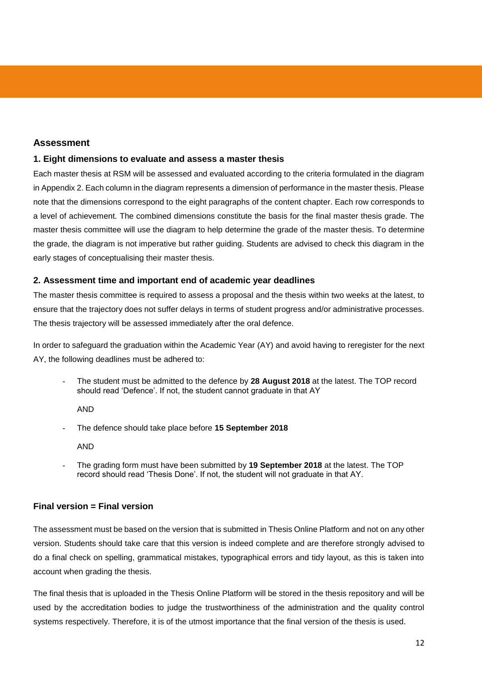#### <span id="page-11-0"></span>**Assessment**

#### <span id="page-11-1"></span>**1. Eight dimensions to evaluate and assess a master thesis**

Each master thesis at RSM will be assessed and evaluated according to the criteria formulated in the diagram in Appendix 2. Each column in the diagram represents a dimension of performance in the master thesis. Please note that the dimensions correspond to the eight paragraphs of the content chapter. Each row corresponds to a level of achievement. The combined dimensions constitute the basis for the final master thesis grade. The master thesis committee will use the diagram to help determine the grade of the master thesis. To determine the grade, the diagram is not imperative but rather guiding. Students are advised to check this diagram in the early stages of conceptualising their master thesis.

#### <span id="page-11-2"></span>**2. Assessment time and important end of academic year deadlines**

The master thesis committee is required to assess a proposal and the thesis within two weeks at the latest, to ensure that the trajectory does not suffer delays in terms of student progress and/or administrative processes. The thesis trajectory will be assessed immediately after the oral defence.

In order to safeguard the graduation within the Academic Year (AY) and avoid having to reregister for the next AY, the following deadlines must be adhered to:

- The student must be admitted to the defence by **28 August 2018** at the latest. The TOP record should read 'Defence'. If not, the student cannot graduate in that AY

#### AND

- The defence should take place before **15 September 2018**

AND

- The grading form must have been submitted by **19 September 2018** at the latest. The TOP record should read 'Thesis Done'. If not, the student will not graduate in that AY.

#### **Final version = Final version**

The assessment must be based on the version that is submitted in Thesis Online Platform and not on any other version. Students should take care that this version is indeed complete and are therefore strongly advised to do a final check on spelling, grammatical mistakes, typographical errors and tidy layout, as this is taken into account when grading the thesis.

The final thesis that is uploaded in the Thesis Online Platform will be stored in the thesis repository and will be used by the accreditation bodies to judge the trustworthiness of the administration and the quality control systems respectively. Therefore, it is of the utmost importance that the final version of the thesis is used.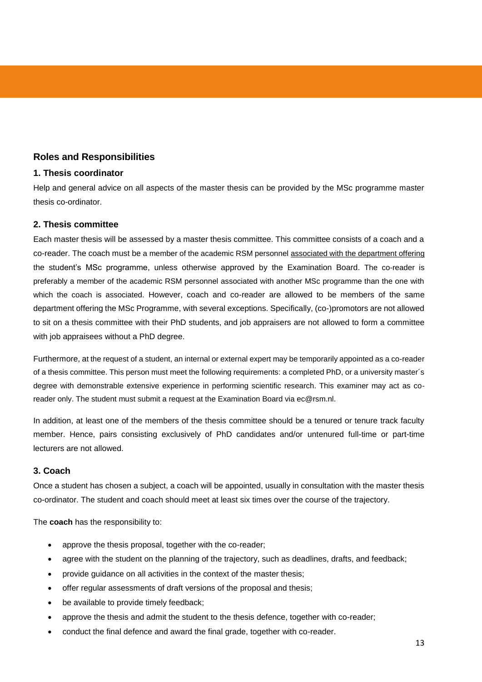#### <span id="page-12-0"></span>**Roles and Responsibilities**

#### <span id="page-12-1"></span>**1. Thesis coordinator**

Help and general advice on all aspects of the master thesis can be provided by the MSc programme master thesis co-ordinator.

#### <span id="page-12-2"></span>**2. Thesis committee**

Each master thesis will be assessed by a master thesis committee. This committee consists of a coach and a co-reader. The coach must be a member of the academic RSM personnel associated with the department offering the student's MSc programme, unless otherwise approved by the Examination Board. The co-reader is preferably a member of the academic RSM personnel associated with another MSc programme than the one with which the coach is associated. However, coach and co-reader are allowed to be members of the same department offering the MSc Programme, with several exceptions. Specifically, (co-)promotors are not allowed to sit on a thesis committee with their PhD students, and job appraisers are not allowed to form a committee with job appraisees without a PhD degree.

Furthermore, at the request of a student, an internal or external expert may be temporarily appointed as a co-reader of a thesis committee. This person must meet the following requirements: a completed PhD, or a university master´s degree with demonstrable extensive experience in performing scientific research. This examiner may act as coreader only. The student must submit a request at the Examination Board via ec@rsm.nl.

In addition, at least one of the members of the thesis committee should be a tenured or tenure track faculty member. Hence, pairs consisting exclusively of PhD candidates and/or untenured full-time or part-time lecturers are not allowed.

#### <span id="page-12-3"></span>**3. Coach**

Once a student has chosen a subject, a coach will be appointed, usually in consultation with the master thesis co-ordinator. The student and coach should meet at least six times over the course of the trajectory.

The **coach** has the responsibility to:

- approve the thesis proposal, together with the co-reader;
- agree with the student on the planning of the trajectory, such as deadlines, drafts, and feedback;
- provide quidance on all activities in the context of the master thesis:
- offer regular assessments of draft versions of the proposal and thesis;
- be available to provide timely feedback;
- approve the thesis and admit the student to the thesis defence, together with co-reader;
- conduct the final defence and award the final grade, together with co-reader.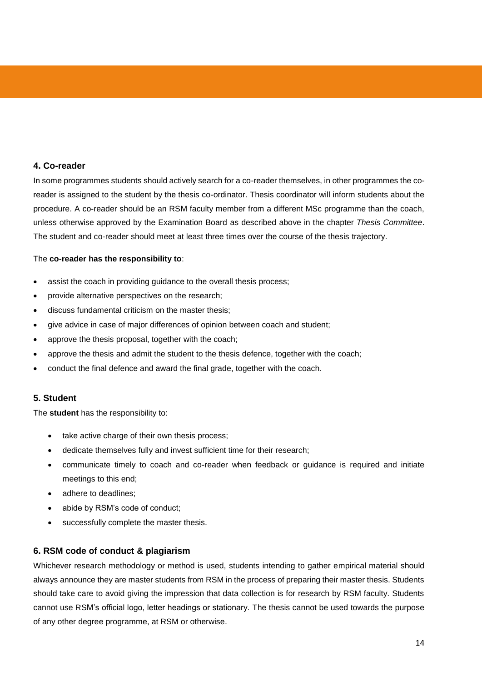#### <span id="page-13-0"></span>**4. Co-reader**

In some programmes students should actively search for a co-reader themselves, in other programmes the coreader is assigned to the student by the thesis co-ordinator. Thesis coordinator will inform students about the procedure. A co-reader should be an RSM faculty member from a different MSc programme than the coach, unless otherwise approved by the Examination Board as described above in the chapter *Thesis Committee*. The student and co-reader should meet at least three times over the course of the thesis trajectory.

#### The **co-reader has the responsibility to**:

- assist the coach in providing quidance to the overall thesis process;
- provide alternative perspectives on the research;
- discuss fundamental criticism on the master thesis;
- give advice in case of major differences of opinion between coach and student;
- approve the thesis proposal, together with the coach;
- approve the thesis and admit the student to the thesis defence, together with the coach;
- conduct the final defence and award the final grade, together with the coach.

#### <span id="page-13-1"></span>**5. Student**

The **student** has the responsibility to:

- take active charge of their own thesis process;
- dedicate themselves fully and invest sufficient time for their research;
- communicate timely to coach and co-reader when feedback or guidance is required and initiate meetings to this end;
- adhere to deadlines;
- abide by RSM's code of conduct;
- successfully complete the master thesis.

#### <span id="page-13-2"></span>**6. RSM code of conduct & plagiarism**

Whichever research methodology or method is used, students intending to gather empirical material should always announce they are master students from RSM in the process of preparing their master thesis. Students should take care to avoid giving the impression that data collection is for research by RSM faculty. Students cannot use RSM's official logo, letter headings or stationary. The thesis cannot be used towards the purpose of any other degree programme, at RSM or otherwise.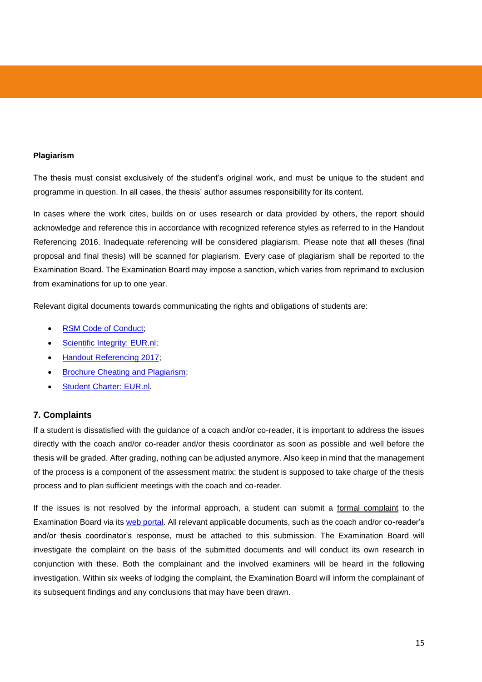#### **Plagiarism**

The thesis must consist exclusively of the student's original work, and must be unique to the student and programme in question. In all cases, the thesis' author assumes responsibility for its content.

In cases where the work cites, builds on or uses research or data provided by others, the report should acknowledge and reference this in accordance with recognized reference styles as referred to in the Handout Referencing 2016. Inadequate referencing will be considered plagiarism. Please note that **all** theses (final proposal and final thesis) will be scanned for plagiarism. Every case of plagiarism shall be reported to the Examination Board. The Examination Board may impose a sanction, which varies from reprimand to exclusion from examinations for up to one year.

Relevant digital documents towards communicating the rights and obligations of students are:

- [RSM Code of Conduct;](http://www.rsm.nl/fileadmin/PDF/Current_Students/Master/2.5_Code_of_Conduct_2008.pdf)
- [Scientific Integrity:](http://www.eur.nl/english/eur/publications/integrity/scientificintegrity/) EUR.nl;
- [Handout Referencing 2017;](https://www.rsm.nl/fileadmin/Images_NEW/Sites/Examination_Board/Handout_referencing_2017_English_Version.pdf)
- **[Brochure Cheating and Plagiarism;](http://www.eur.nl/english/eur/publications/cheating_and_plagiarism/)**
- **[Student Charter:](http://www.eur.nl/english/essc/legal_position/student_charter/) EUR.nl.**

#### <span id="page-14-0"></span>**7. Complaints**

If a student is dissatisfied with the guidance of a coach and/or co-reader, it is important to address the issues directly with the coach and/or co-reader and/or thesis coordinator as soon as possible and well before the thesis will be graded. After grading, nothing can be adjusted anymore. Also keep in mind that the management of the process is a component of the assessment matrix: the student is supposed to take charge of the thesis process and to plan sufficient meetings with the coach and co-reader.

If the issues is not resolved by the informal approach, a student can submit a formal complaint to the Examination Board via its [web portal.](https://request-eb.rsm.nl/) All relevant applicable documents, such as the coach and/or co-reader's and/or thesis coordinator's response, must be attached to this submission. The Examination Board will investigate the complaint on the basis of the submitted documents and will conduct its own research in conjunction with these. Both the complainant and the involved examiners will be heard in the following investigation. Within six weeks of lodging the complaint, the Examination Board will inform the complainant of its subsequent findings and any conclusions that may have been drawn.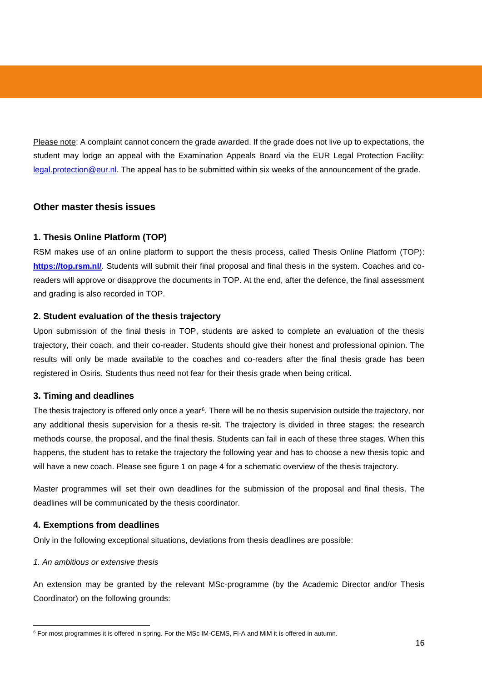Please note: A complaint cannot concern the grade awarded. If the grade does not live up to expectations, the student may lodge an appeal with the Examination Appeals Board via the EUR Legal Protection Facility: [legal.protection@eur.nl.](mailto:legal.protection@eur.nl) The appeal has to be submitted within six weeks of the announcement of the grade.

#### <span id="page-15-0"></span>**Other master thesis issues**

#### <span id="page-15-1"></span>**1. Thesis Online Platform (TOP)**

RSM makes use of an online platform to support the thesis process, called Thesis Online Platform (TOP): **<https://top.rsm.nl/>**. Students will submit their final proposal and final thesis in the system. Coaches and coreaders will approve or disapprove the documents in TOP. At the end, after the defence, the final assessment and grading is also recorded in TOP.

#### <span id="page-15-2"></span>**2. Student evaluation of the thesis trajectory**

Upon submission of the final thesis in TOP, students are asked to complete an evaluation of the thesis trajectory, their coach, and their co-reader. Students should give their honest and professional opinion. The results will only be made available to the coaches and co-readers after the final thesis grade has been registered in Osiris. Students thus need not fear for their thesis grade when being critical.

#### <span id="page-15-3"></span>**3. Timing and deadlines**

The thesis trajectory is offered only once a year<sup>6</sup>. There will be no thesis supervision outside the trajectory, nor any additional thesis supervision for a thesis re-sit. The trajectory is divided in three stages: the research methods course, the proposal, and the final thesis. Students can fail in each of these three stages. When this happens, the student has to retake the trajectory the following year and has to choose a new thesis topic and will have a new coach. Please see figure 1 on page 4 for a schematic overview of the thesis trajectory.

Master programmes will set their own deadlines for the submission of the proposal and final thesis. The deadlines will be communicated by the thesis coordinator.

#### <span id="page-15-4"></span>**4. Exemptions from deadlines**

Only in the following exceptional situations, deviations from thesis deadlines are possible:

#### *1. An ambitious or extensive thesis*

 $\overline{a}$ 

An extension may be granted by the relevant MSc-programme (by the Academic Director and/or Thesis Coordinator) on the following grounds:

<sup>&</sup>lt;sup>6</sup> For most programmes it is offered in spring. For the MSc IM-CEMS, FI-A and MiM it is offered in autumn.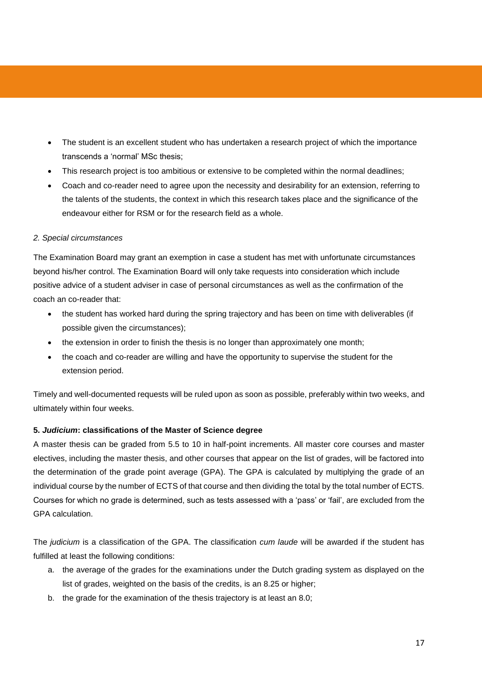- The student is an excellent student who has undertaken a research project of which the importance transcends a 'normal' MSc thesis;
- This research project is too ambitious or extensive to be completed within the normal deadlines;
- Coach and co-reader need to agree upon the necessity and desirability for an extension, referring to the talents of the students, the context in which this research takes place and the significance of the endeavour either for RSM or for the research field as a whole.

#### *2. Special circumstances*

The Examination Board may grant an exemption in case a student has met with unfortunate circumstances beyond his/her control. The Examination Board will only take requests into consideration which include positive advice of a student adviser in case of personal circumstances as well as the confirmation of the coach an co-reader that:

- the student has worked hard during the spring trajectory and has been on time with deliverables (if possible given the circumstances);
- the extension in order to finish the thesis is no longer than approximately one month;
- the coach and co-reader are willing and have the opportunity to supervise the student for the extension period.

Timely and well-documented requests will be ruled upon as soon as possible, preferably within two weeks, and ultimately within four weeks.

#### <span id="page-16-0"></span>**5.** *Judicium***: classifications of the Master of Science degree**

A master thesis can be graded from 5.5 to 10 in half-point increments. All master core courses and master electives, including the master thesis, and other courses that appear on the list of grades, will be factored into the determination of the grade point average (GPA). The GPA is calculated by multiplying the grade of an individual course by the number of ECTS of that course and then dividing the total by the total number of ECTS. Courses for which no grade is determined, such as tests assessed with a 'pass' or 'fail', are excluded from the GPA calculation.

The *judicium* is a classification of the GPA. The classification *cum laude* will be awarded if the student has fulfilled at least the following conditions:

- a. the average of the grades for the examinations under the Dutch grading system as displayed on the list of grades, weighted on the basis of the credits, is an 8.25 or higher;
- b. the grade for the examination of the thesis trajectory is at least an 8.0;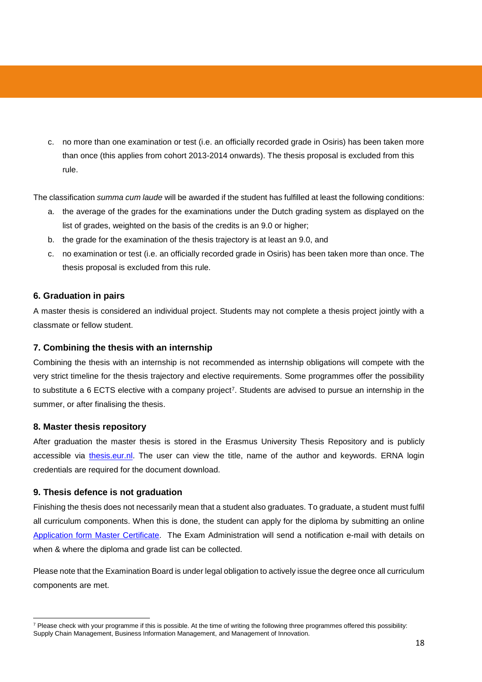c. no more than one examination or test (i.e. an officially recorded grade in Osiris) has been taken more than once (this applies from cohort 2013-2014 onwards). The thesis proposal is excluded from this rule.

The classification *summa cum laude* will be awarded if the student has fulfilled at least the following conditions:

- a. the average of the grades for the examinations under the Dutch grading system as displayed on the list of grades, weighted on the basis of the credits is an 9.0 or higher;
- b. the grade for the examination of the thesis trajectory is at least an 9.0, and
- c. no examination or test (i.e. an officially recorded grade in Osiris) has been taken more than once. The thesis proposal is excluded from this rule.

#### <span id="page-17-0"></span>**6. Graduation in pairs**

A master thesis is considered an individual project. Students may not complete a thesis project jointly with a classmate or fellow student.

#### <span id="page-17-1"></span>**7. Combining the thesis with an internship**

Combining the thesis with an internship is not recommended as internship obligations will compete with the very strict timeline for the thesis trajectory and elective requirements. Some programmes offer the possibility to substitute a 6 ECTS elective with a company project<sup>7</sup>. Students are advised to pursue an internship in the summer, or after finalising the thesis.

#### <span id="page-17-2"></span>**8. Master thesis repository**

After graduation the master thesis is stored in the Erasmus University Thesis Repository and is publicly accessible via [thesis.eur.nl.](https://thesis.eur.nl/) The user can view the title, name of the author and keywords. ERNA login credentials are required for the document download.

#### <span id="page-17-3"></span>**9. Thesis defence is not graduation**

Finishing the thesis does not necessarily mean that a student also graduates. To graduate, a student must fulfil all curriculum components. When this is done, the student can apply for the diploma by submitting an online [Application form Master C](http://www.eur.nl/essc/studentenadministratie/afstuderen/master/rotterdam_school_of_management_erasmus_university/)ertificate. The Exam Administration will send a notification e-mail with details on when & where the diploma and grade list can be collected.

Please note that the Examination Board is under legal obligation to actively issue the degree once all curriculum components are met.

 $\overline{a}$ <sup>7</sup> Please check with your programme if this is possible. At the time of writing the following three programmes offered this possibility: Supply Chain Management, Business Information Management, and Management of Innovation.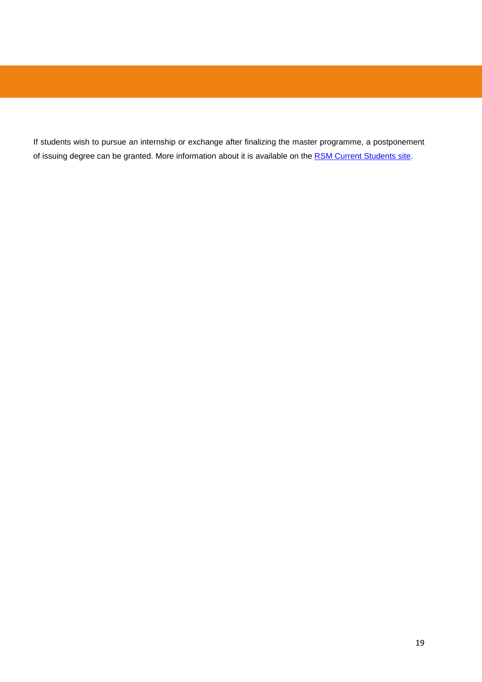If students wish to pursue an internship or exchange after finalizing the master programme, a postponement of issuing degree can be granted. More information about it is available on the [RSM Current Students site.](http://www.rsm.nl/master/current-students/master/postponement-of-issuing-your-degree/)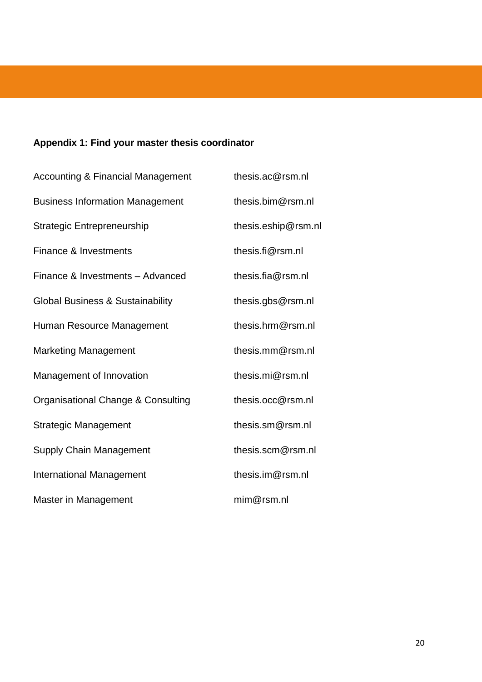## <span id="page-19-0"></span>**Appendix 1: Find your master thesis coordinator**

| <b>Accounting &amp; Financial Management</b> | thesis.ac@rsm.nl    |
|----------------------------------------------|---------------------|
| <b>Business Information Management</b>       | thesis.bim@rsm.nl   |
| <b>Strategic Entrepreneurship</b>            | thesis.eship@rsm.nl |
| Finance & Investments                        | thesis.fi@rsm.nl    |
| Finance & Investments - Advanced             | thesis.fia@rsm.nl   |
| <b>Global Business &amp; Sustainability</b>  | thesis.gbs@rsm.nl   |
| Human Resource Management                    | thesis.hrm@rsm.nl   |
| <b>Marketing Management</b>                  | thesis.mm@rsm.nl    |
| Management of Innovation                     | thesis.mi@rsm.nl    |
| Organisational Change & Consulting           | thesis.occ@rsm.nl   |
| <b>Strategic Management</b>                  | thesis.sm@rsm.nl    |
| <b>Supply Chain Management</b>               | thesis.scm@rsm.nl   |
| <b>International Management</b>              | thesis.im@rsm.nl    |
| Master in Management                         | min@rsm.nl          |